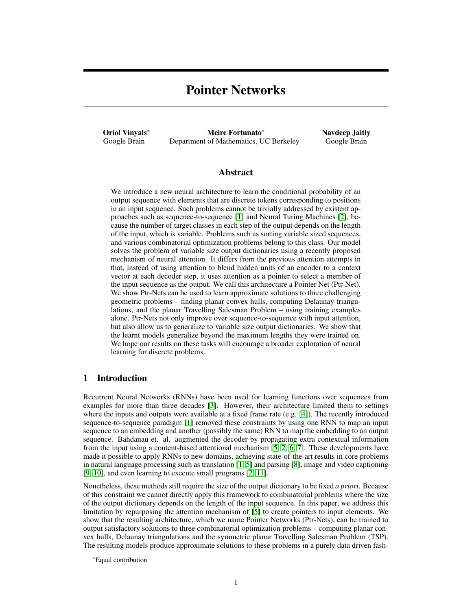# Pointer Networks

Oriol Vinyals<sup>∗</sup> Google Brain

Meire Fortunato<sup>∗</sup> Department of Mathematics, UC Berkeley Navdeep Jaitly Google Brain

## Abstract

We introduce a new neural architecture to learn the conditional probability of an output sequence with elements that are discrete tokens corresponding to positions in an input sequence. Such problems cannot be trivially addressed by existent approaches such as sequence-to-sequence [1] and Neural Turing Machines [2], because the number of target classes in each step of the output depends on the length of the input, which is variable. Problems such as sorting variable sized sequences, and various combinatorial optimization problems belong to this class. Our model solves the problem of variable size output dictionaries using a recently proposed mechanism of neural attention. It differs from the previous attention attempts in that, instead of using attention to blend hidden units of an encoder to a context vector at each decoder step, it uses attention as a pointer to select a member of the input sequence as the output. We call this architecture a Pointer Net (Ptr-Net). We show Ptr-Nets can be used to learn approximate solutions to three challenging geometric problems – finding planar convex hulls, computing Delaunay triangulations, and the planar Travelling Salesman Problem – using training examples alone. Ptr-Nets not only improve over sequence-to-sequence with input attention, but also allow us to generalize to variable size output dictionaries. We show that the learnt models generalize beyond the maximum lengths they were trained on. We hope our results on these tasks will encourage a broader exploration of neural learning for discrete problems.

# 1 Introduction

Recurrent Neural Networks (RNNs) have been used for learning functions over sequences from examples for more than three decades [3]. However, their architecture limited them to settings where the inputs and outputs were available at a fixed frame rate (e.g. [4]). The recently introduced sequence-to-sequence paradigm [1] removed these constraints by using one RNN to map an input sequence to an embedding and another (possibly the same) RNN to map the embedding to an output sequence. Bahdanau et. al. augmented the decoder by propagating extra contextual information from the input using a content-based attentional mechanism [5, 2, 6, 7]. These developments have made it possible to apply RNNs to new domains, achieving state-of-the-art results in core problems in natural language processing such as translation [1, 5] and parsing [8], image and video captioning [9, 10], and even learning to execute small programs [2, 11].

Nonetheless, these methods still require the size of the output dictionary to be fixed *a priori*. Because of this constraint we cannot directly apply this framework to combinatorial problems where the size of the output dictionary depends on the length of the input sequence. In this paper, we address this limitation by repurposing the attention mechanism of [5] to create pointers to input elements. We show that the resulting architecture, which we name Pointer Networks (Ptr-Nets), can be trained to output satisfactory solutions to three combinatorial optimization problems – computing planar convex hulls, Delaunay triangulations and the symmetric planar Travelling Salesman Problem (TSP). The resulting models produce approximate solutions to these problems in a purely data driven fash-

<sup>∗</sup>Equal contribution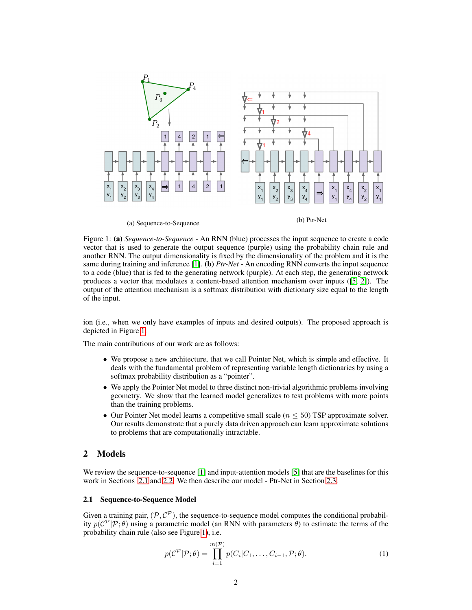

Figure 1: (a) *Sequence-to-Sequence* - An RNN (blue) processes the input sequence to create a code vector that is used to generate the output sequence (purple) using the probability chain rule and another RNN. The output dimensionality is fixed by the dimensionality of the problem and it is the same during training and inference [1]. **(b)** *Ptr-Net* - An encoding RNN converts the input sequence to a code (blue) that is fed to the generating network (purple). At each step, the generating network produces a vector that modulates a content-based attention mechanism over inputs ([5, 2]). The output of the attention mechanism is a softmax distribution with dictionary size equal to the length of the input.

ion (i.e., when we only have examples of inputs and desired outputs). The proposed approach is depicted in Figure 1.

The main contributions of our work are as follows:

- We propose a new architecture, that we call Pointer Net, which is simple and effective. It deals with the fundamental problem of representing variable length dictionaries by using a softmax probability distribution as a "pointer".
- We apply the Pointer Net model to three distinct non-trivial algorithmic problems involving geometry. We show that the learned model generalizes to test problems with more points than the training problems.
- Our Pointer Net model learns a competitive small scale ( $n \leq 50$ ) TSP approximate solver. Our results demonstrate that a purely data driven approach can learn approximate solutions to problems that are computationally intractable.

# 2 Models

We review the sequence-to-sequence [1] and input-attention models [5] that are the baselines for this work in Sections 2.1 and 2.2. We then describe our model - Ptr-Net in Section 2.3.

## 2.1 Sequence-to-Sequence Model

Given a training pair,  $(\mathcal{P}, \mathcal{C}^{\mathcal{P}})$ , the sequence-to-sequence model computes the conditional probability  $p(C^{\mathcal{P}}|\mathcal{P};\theta)$  using a parametric model (an RNN with parameters  $\theta$ ) to estimate the terms of the probability chain rule (also see Figure 1), i.e.

$$
p(C^{\mathcal{P}}|\mathcal{P};\theta) = \prod_{i=1}^{m(\mathcal{P})} p(C_i|C_1,\ldots,C_{i-1},\mathcal{P};\theta).
$$
 (1)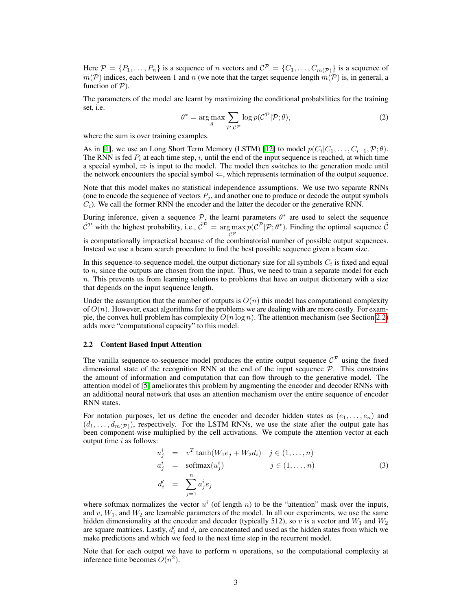Here  $P = \{P_1, \ldots, P_n\}$  is a sequence of n vectors and  $C^P = \{C_1, \ldots, C_{m(P)}\}$  is a sequence of  $m(\mathcal{P})$  indices, each between 1 and n (we note that the target sequence length  $m(\mathcal{P})$  is, in general, a function of  $P$ ).

The parameters of the model are learnt by maximizing the conditional probabilities for the training set, i.e.

$$
\theta^* = \underset{\theta}{\arg \max} \sum_{\mathcal{P}, \mathcal{C}^{\mathcal{P}}}\log p(\mathcal{C}^{\mathcal{P}}|\mathcal{P}; \theta), \tag{2}
$$

where the sum is over training examples.

As in [1], we use an Long Short Term Memory (LSTM) [12] to model  $p(C_i|C_1,\ldots,C_{i-1},\mathcal{P};\theta)$ . The RNN is fed  $P_i$  at each time step, i, until the end of the input sequence is reached, at which time a special symbol,  $\Rightarrow$  is input to the model. The model then switches to the generation mode until the network encounters the special symbol  $\Leftarrow$ , which represents termination of the output sequence.

Note that this model makes no statistical independence assumptions. We use two separate RNNs (one to encode the sequence of vectors  $P_i$ , and another one to produce or decode the output symbols  $C_i$ ). We call the former RNN the encoder and the latter the decoder or the generative RNN.

During inference, given a sequence  $P$ , the learnt parameters  $\theta^*$  are used to select the sequence  $\hat{C}^{\mathcal{P}}$  with the highest probability, i.e.,  $\hat{C}^{\mathcal{P}} = \arg \max$  $\mathcal{C}^{\mathcal{P}}$  $p(\mathcal{C}^{\mathcal{P}}|\mathcal{P};\theta^*)$ . Finding the optimal sequence  $\hat{\mathcal{C}}$ 

is computationally impractical because of the combinatorial number of possible output sequences. Instead we use a beam search procedure to find the best possible sequence given a beam size.

In this sequence-to-sequence model, the output dictionary size for all symbols  $C_i$  is fixed and equal to  $n$ , since the outputs are chosen from the input. Thus, we need to train a separate model for each  $n$ . This prevents us from learning solutions to problems that have an output dictionary with a size that depends on the input sequence length.

Under the assumption that the number of outputs is  $O(n)$  this model has computational complexity of  $O(n)$ . However, exact algorithms for the problems we are dealing with are more costly. For example, the convex hull problem has complexity  $O(n \log n)$ . The attention mechanism (see Section 2.2) adds more "computational capacity" to this model.

#### 2.2 Content Based Input Attention

The vanilla sequence-to-sequence model produces the entire output sequence  $\mathcal{C}^{\mathcal{P}}$  using the fixed dimensional state of the recognition RNN at the end of the input sequence  $P$ . This constrains the amount of information and computation that can flow through to the generative model. The attention model of [5] ameliorates this problem by augmenting the encoder and decoder RNNs with an additional neural network that uses an attention mechanism over the entire sequence of encoder RNN states.

For notation purposes, let us define the encoder and decoder hidden states as  $(e_1, \ldots, e_n)$  and  $(d_1, \ldots, d_{m(\mathcal{P})})$ , respectively. For the LSTM RNNs, we use the state after the output gate has been component-wise multiplied by the cell activations. We compute the attention vector at each output time  $i$  as follows:

$$
u_j^i = v^T \tanh(W_1 e_j + W_2 d_i) \quad j \in (1, \dots, n)
$$
  
\n
$$
a_j^i = \operatorname{softmax}(u_j^i) \qquad j \in (1, \dots, n)
$$
  
\n
$$
d_i' = \sum_{j=1}^n a_j^i e_j
$$
\n(3)

where softmax normalizes the vector  $u^i$  (of length n) to be the "attention" mask over the inputs, and  $v$ ,  $W_1$ , and  $W_2$  are learnable parameters of the model. In all our experiments, we use the same hidden dimensionality at the encoder and decoder (typically 512), so v is a vector and  $W_1$  and  $W_2$ are square matrices. Lastly,  $d_i'$  and  $d_i$  are concatenated and used as the hidden states from which we make predictions and which we feed to the next time step in the recurrent model.

Note that for each output we have to perform  $n$  operations, so the computational complexity at inference time becomes  $O(n^2)$ .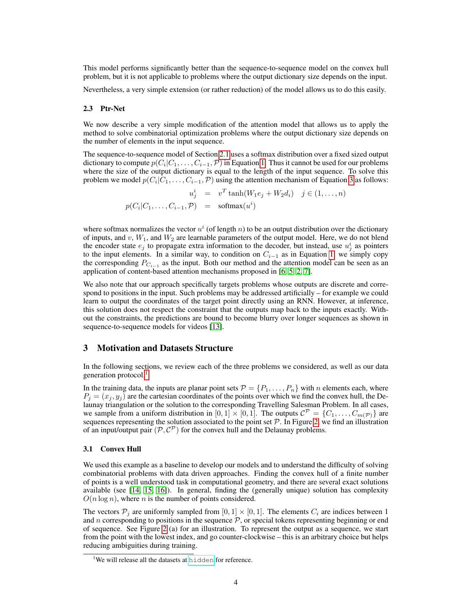This model performs significantly better than the sequence-to-sequence model on the convex hull problem, but it is not applicable to problems where the output dictionary size depends on the input.

Nevertheless, a very simple extension (or rather reduction) of the model allows us to do this easily.

#### 2.3 Ptr-Net

We now describe a very simple modification of the attention model that allows us to apply the method to solve combinatorial optimization problems where the output dictionary size depends on the number of elements in the input sequence.

The sequence-to-sequence model of Section 2.1 uses a softmax distribution over a fixed sized output dictionary to compute  $p(C_i|C_1,\ldots,C_{i-1},\mathcal{P})$  in Equation 1. Thus it cannot be used for our problems where the size of the output dictionary is equal to the length of the input sequence. To solve this problem we model  $p(C_i|C_1,\ldots,C_{i-1},P)$  using the attention mechanism of Equation 3 as follows:

> $u_j^i = v^T \tanh(W_1 e_j + W_2 d_i) \quad j \in (1, ..., n)$  $p(C_i|C_1,\ldots,C_{i-1},\mathcal{P})$  = softmax $(u^i)$

where softmax normalizes the vector  $u^i$  (of length n) to be an output distribution over the dictionary of inputs, and  $v$ ,  $W_1$ , and  $W_2$  are learnable parameters of the output model. Here, we do not blend the encoder state  $e_j$  to propagate extra information to the decoder, but instead, use  $u_j^i$  as pointers to the input elements. In a similar way, to condition on  $C_{i-1}$  as in Equation 1, we simply copy the corresponding  $P_{C_{i-1}}$  as the input. Both our method and the attention model can be seen as an application of content-based attention mechanisms proposed in [6, 5, 2, 7].

We also note that our approach specifically targets problems whose outputs are discrete and correspond to positions in the input. Such problems may be addressed artificially – for example we could learn to output the coordinates of the target point directly using an RNN. However, at inference, this solution does not respect the constraint that the outputs map back to the inputs exactly. Without the constraints, the predictions are bound to become blurry over longer sequences as shown in sequence-to-sequence models for videos [13].

## 3 Motivation and Datasets Structure

In the following sections, we review each of the three problems we considered, as well as our data generation protocol.<sup>1</sup>

In the training data, the inputs are planar point sets  $\mathcal{P} = \{P_1, \ldots, P_n\}$  with n elements each, where  $P_j = (x_j, y_j)$  are the cartesian coordinates of the points over which we find the convex hull, the Delaunay triangulation or the solution to the corresponding Travelling Salesman Problem. In all cases, we sample from a uniform distribution in  $[0,1] \times [0,1]$ . The outputs  $\mathcal{C}^{\mathcal{P}} = \{C_1, \ldots, C_{m(\mathcal{P})}\}\$ are sequences representing the solution associated to the point set  $P$ . In Figure 2, we find an illustration of an input/output pair  $(P, C^P)$  for the convex hull and the Delaunay problems.

#### 3.1 Convex Hull

We used this example as a baseline to develop our models and to understand the difficulty of solving combinatorial problems with data driven approaches. Finding the convex hull of a finite number of points is a well understood task in computational geometry, and there are several exact solutions available (see [14, 15, 16]). In general, finding the (generally unique) solution has complexity  $O(n \log n)$ , where *n* is the number of points considered.

The vectors  $P_i$  are uniformly sampled from [0, 1]  $\times$  [0, 1]. The elements  $C_i$  are indices between 1 and  $n$  corresponding to positions in the sequence  $P$ , or special tokens representing beginning or end of sequence. See Figure 2 (a) for an illustration. To represent the output as a sequence, we start from the point with the lowest index, and go counter-clockwise – this is an arbitrary choice but helps reducing ambiguities during training.

<sup>&</sup>lt;sup>1</sup>We will release all the datasets at <hidden> for reference.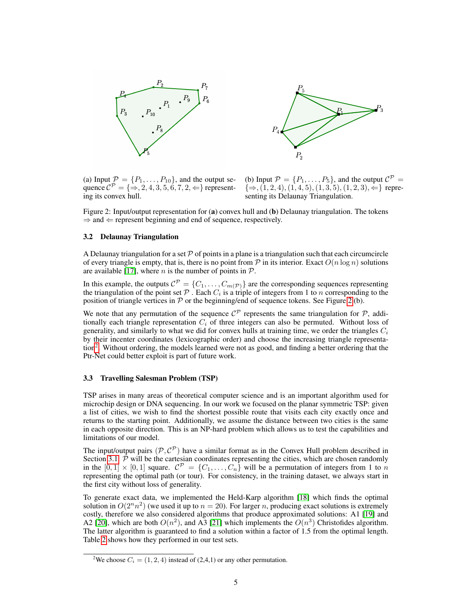



(a) Input  $\mathcal{P} = \{P_1, \ldots, P_{10}\}$ , and the output sequence  $\mathcal{C}^{\mathcal{P}} = \{ \Rightarrow, 2, 4, 3, 5, 6, 7, 2, \Leftarrow \}$  representing its convex hull.

(b) Input  $P = \{P_1, \ldots, P_5\}$ , and the output  $C^P =$  $\{\Rightarrow, (1, 2, 4), (1, 4, 5), (1, 3, 5), (1, 2, 3), \Leftarrow\}$  representing its Delaunay Triangulation.

Figure 2: Input/output representation for (a) convex hull and (b) Delaunay triangulation. The tokens  $\Rightarrow$  and  $\Leftarrow$  represent beginning and end of sequence, respectively.

#### 3.2 Delaunay Triangulation

A Delaunay triangulation for a set  $\mathcal P$  of points in a plane is a triangulation such that each circumcircle of every triangle is empty, that is, there is no point from  $P$  in its interior. Exact  $O(n \log n)$  solutions are available [17], where *n* is the number of points in  $P$ .

In this example, the outputs  $\mathcal{C}^{\mathcal{P}} = \{C_1, \ldots, C_{m(\mathcal{P})}\}\$  are the corresponding sequences representing the triangulation of the point set  $P$ . Each  $C_i$  is a triple of integers from 1 to n corresponding to the position of triangle vertices in  $P$  or the beginning/end of sequence tokens. See Figure 2 (b).

We note that any permutation of the sequence  $\mathcal{C}^{\mathcal{P}}$  represents the same triangulation for  $\mathcal{P}$ , additionally each triangle representation  $C_i$  of three integers can also be permuted. Without loss of generality, and similarly to what we did for convex hulls at training time, we order the triangles  $C_i$ by their incenter coordinates (lexicographic order) and choose the increasing triangle representation2 . Without ordering, the models learned were not as good, and finding a better ordering that the Ptr-Net could better exploit is part of future work.

#### 3.3 Travelling Salesman Problem (TSP)

TSP arises in many areas of theoretical computer science and is an important algorithm used for microchip design or DNA sequencing. In our work we focused on the planar symmetric TSP: given a list of cities, we wish to find the shortest possible route that visits each city exactly once and returns to the starting point. Additionally, we assume the distance between two cities is the same in each opposite direction. This is an NP-hard problem which allows us to test the capabilities and limitations of our model.

The input/output pairs  $(\mathcal{P}, \mathcal{C}^{\mathcal{P}})$  have a similar format as in the Convex Hull problem described in Section 3.1.  $P$  will be the cartesian coordinates representing the cities, which are chosen randomly in the  $[0,1] \times [0,1]$  square.  $C^{\mathcal{P}} = \{C_1, \ldots, C_n\}$  will be a permutation of integers from 1 to n representing the optimal path (or tour). For consistency, in the training dataset, we always start in the first city without loss of generality.

To generate exact data, we implemented the Held-Karp algorithm [18] which finds the optimal solution in  $O(2^n n^2)$  (we used it up to  $n = 20$ ). For larger n, producing exact solutions is extremely costly, therefore we also considered algorithms that produce approximated solutions: A1 [19] and A2 [20], which are both  $O(n^2)$ , and A3 [21] which implements the  $O(n^3)$  Christofides algorithm. The latter algorithm is guaranteed to find a solution within a factor of 1.5 from the optimal length. Table 2 shows how they performed in our test sets.

<sup>&</sup>lt;sup>2</sup>We choose  $C_i = (1, 2, 4)$  instead of  $(2, 4, 1)$  or any other permutation.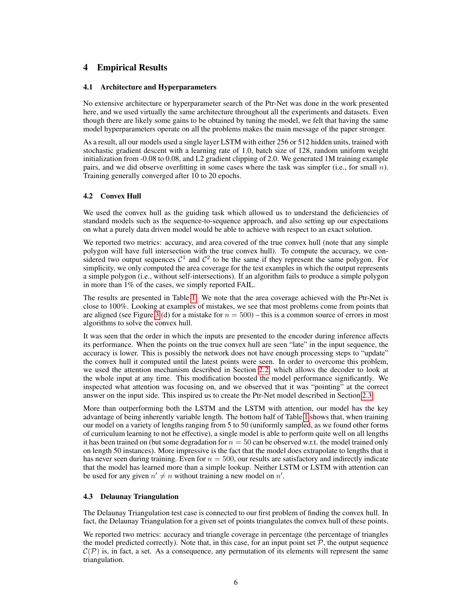# 4 Empirical Results

### 4.1 Architecture and Hyperparameters

No extensive architecture or hyperparameter search of the Ptr-Net was done in the work presented here, and we used virtually the same architecture throughout all the experiments and datasets. Even though there are likely some gains to be obtained by tuning the model, we felt that having the same model hyperparameters operate on all the problems makes the main message of the paper stronger.

As a result, all our models used a single layer LSTM with either 256 or 512 hidden units, trained with stochastic gradient descent with a learning rate of 1.0, batch size of 128, random uniform weight initialization from -0.08 to 0.08, and L2 gradient clipping of 2.0. We generated 1M training example pairs, and we did observe overfitting in some cases where the task was simpler (i.e., for small n). Training generally converged after 10 to 20 epochs.

#### 4.2 Convex Hull

We used the convex hull as the guiding task which allowed us to understand the deficiencies of standard models such as the sequence-to-sequence approach, and also setting up our expectations on what a purely data driven model would be able to achieve with respect to an exact solution.

We reported two metrics: accuracy, and area covered of the true convex hull (note that any simple polygon will have full intersection with the true convex hull). To compute the accuracy, we considered two output sequences  $C^1$  and  $C^2$  to be the same if they represent the same polygon. For simplicity, we only computed the area coverage for the test examples in which the output represents a simple polygon (i.e., without self-intersections). If an algorithm fails to produce a simple polygon in more than 1% of the cases, we simply reported FAIL.

The results are presented in Table 1. We note that the area coverage achieved with the Ptr-Net is close to 100%. Looking at examples of mistakes, we see that most problems come from points that are aligned (see Figure 3 (d) for a mistake for  $n = 500$ ) – this is a common source of errors in most algorithms to solve the convex hull.

It was seen that the order in which the inputs are presented to the encoder during inference affects its performance. When the points on the true convex hull are seen "late" in the input sequence, the accuracy is lower. This is possibly the network does not have enough processing steps to "update" the convex hull it computed until the latest points were seen. In order to overcome this problem, we used the attention mechanism described in Section 2.2, which allows the decoder to look at the whole input at any time. This modification boosted the model performance significantly. We inspected what attention was focusing on, and we observed that it was "pointing" at the correct answer on the input side. This inspired us to create the Ptr-Net model described in Section 2.3.

More than outperforming both the LSTM and the LSTM with attention, our model has the key advantage of being inherently variable length. The bottom half of Table 1 shows that, when training our model on a variety of lengths ranging from 5 to 50 (uniformly sampled, as we found other forms of curriculum learning to not be effective), a single model is able to perform quite well on all lengths it has been trained on (but some degradation for  $n = 50$  can be observed w.r.t. the model trained only on length 50 instances). More impressive is the fact that the model does extrapolate to lengths that it has never seen during training. Even for  $n = 500$ , our results are satisfactory and indirectly indicate that the model has learned more than a simple lookup. Neither LSTM or LSTM with attention can be used for any given  $n' \neq n$  without training a new model on n'.

## 4.3 Delaunay Triangulation

The Delaunay Triangulation test case is connected to our first problem of finding the convex hull. In fact, the Delaunay Triangulation for a given set of points triangulates the convex hull of these points.

We reported two metrics: accuracy and triangle coverage in percentage (the percentage of triangles the model predicted correctly). Note that, in this case, for an input point set  $P$ , the output sequence  $\mathcal{C}(\mathcal{P})$  is, in fact, a set. As a consequence, any permutation of its elements will represent the same triangulation.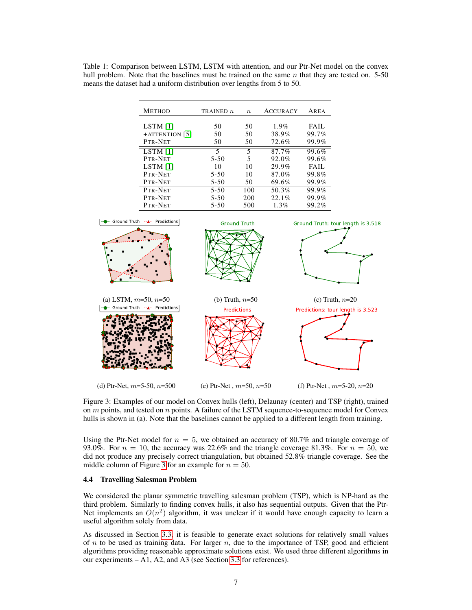Table 1: Comparison between LSTM, LSTM with attention, and our Ptr-Net model on the convex hull problem. Note that the baselines must be trained on the same  $n$  that they are tested on. 5-50 means the dataset had a uniform distribution over lengths from 5 to 50.

| <b>METHOD</b>  | TRAINED $n$ | $\boldsymbol{n}$ | <b>ACCURACY</b> | AREA  |
|----------------|-------------|------------------|-----------------|-------|
|                |             |                  |                 |       |
| LSTM [1]       | 50          | 50               | $1.9\%$         | FAIL  |
| +ATTENTION [5] | 50          | 50               | 38.9%           | 99.7% |
| PTR-NET        | 50          | 50               | 72.6%           | 99.9% |
| LSTM [1]       | 5           | 5                | 87.7%           | 99.6% |
| PTR-NET        | $5 - 50$    | 5                | 92.0%           | 99.6% |
| $LSTM$ [1]     | 10          | 10               | 29.9%           | FAIL  |
| PTR-NET        | $5-50$      | 10               | 87.0%           | 99.8% |
| PTR-NET        | $5-50$      | 50               | 69.6%           | 99.9% |
| PTR-NET        | $5 - 50$    | 100              | 50.3%           | 99.9% |
| PTR-NET        | $5 - 50$    | 200              | 22.1%           | 99.9% |
| PTR-NET        | $5-50$      | 500              | $1.3\%$         | 99.2% |



Figure 3: Examples of our model on Convex hulls (left), Delaunay (center) and TSP (right), trained on  $m$  points, and tested on  $n$  points. A failure of the LSTM sequence-to-sequence model for Convex hulls is shown in (a). Note that the baselines cannot be applied to a different length from training.

Using the Ptr-Net model for  $n = 5$ , we obtained an accuracy of 80.7% and triangle coverage of 93.0%. For  $n = 10$ , the accuracy was 22.6% and the triangle coverage 81.3%. For  $n = 50$ , we did not produce any precisely correct triangulation, but obtained 52.8% triangle coverage. See the middle column of Figure 3 for an example for  $n = 50$ .

#### 4.4 Travelling Salesman Problem

We considered the planar symmetric travelling salesman problem (TSP), which is NP-hard as the third problem. Similarly to finding convex hulls, it also has sequential outputs. Given that the Ptr-Net implements an  $O(n^2)$  algorithm, it was unclear if it would have enough capacity to learn a useful algorithm solely from data.

As discussed in Section 3.3, it is feasible to generate exact solutions for relatively small values of  $n$  to be used as training data. For larger  $n$ , due to the importance of TSP, good and efficient algorithms providing reasonable approximate solutions exist. We used three different algorithms in our experiments – A1, A2, and A3 (see Section 3.3 for references).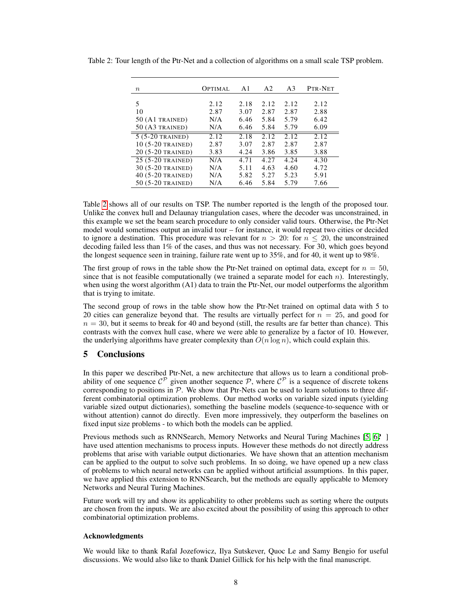| $\boldsymbol{n}$   | OPTIMAL | A1   | A <sub>2</sub> | A <sub>3</sub> | PTR-NET |
|--------------------|---------|------|----------------|----------------|---------|
| 5                  | 2.12    | 2.18 | 2.12           | 2.12           | 2.12    |
| 10                 | 2.87    | 3.07 | 2.87           | 2.87           | 2.88    |
| $50$ (A1 TRAINED)  | N/A     | 6.46 | 5.84           | 5.79           | 6.42    |
| $50 (A3$ TRAINED)  | N/A     | 6.46 | 5.84           | 5.79           | 6.09    |
| $5(5-20)$ TRAINED) | 2.12    | 2.18 | 2.12           | 2.12           | 2.12    |
| 10 (5-20 TRAINED)  | 2.87    | 3.07 | 2.87           | 2.87           | 2.87    |
| 20 (5-20 TRAINED)  | 3.83    | 4.24 | 3.86           | 3.85           | 3.88    |
| 25 (5-20 TRAINED)  | N/A     | 4.71 | 4.27           | 4.24           | 4.30    |
| 30 (5-20 TRAINED)  | N/A     | 5.11 | 4.63           | 4.60           | 4.72    |
| 40 (5-20 TRAINED)  | N/A     | 5.82 | 5.27           | 5.23           | 5.91    |
| 50 (5-20 TRAINED)  | N/A     | 6.46 | 5.84           | 5.79           | 7.66    |

Table 2: Tour length of the Ptr-Net and a collection of algorithms on a small scale TSP problem.

Table 2 shows all of our results on TSP. The number reported is the length of the proposed tour. Unlike the convex hull and Delaunay triangulation cases, where the decoder was unconstrained, in this example we set the beam search procedure to only consider valid tours. Otherwise, the Ptr-Net model would sometimes output an invalid tour – for instance, it would repeat two cities or decided to ignore a destination. This procedure was relevant for  $n > 20$ : for  $n \le 20$ , the unconstrained decoding failed less than 1% of the cases, and thus was not necessary. For 30, which goes beyond the longest sequence seen in training, failure rate went up to 35%, and for 40, it went up to 98%.

The first group of rows in the table show the Ptr-Net trained on optimal data, except for  $n = 50$ , since that is not feasible computationally (we trained a separate model for each  $n$ ). Interestingly, when using the worst algorithm (A1) data to train the Ptr-Net, our model outperforms the algorithm that is trying to imitate.

The second group of rows in the table show how the Ptr-Net trained on optimal data with 5 to 20 cities can generalize beyond that. The results are virtually perfect for  $n = 25$ , and good for  $n = 30$ , but it seems to break for 40 and beyond (still, the results are far better than chance). This contrasts with the convex hull case, where we were able to generalize by a factor of 10. However, the underlying algorithms have greater complexity than  $O(n \log n)$ , which could explain this.

# 5 Conclusions

In this paper we described Ptr-Net, a new architecture that allows us to learn a conditional probability of one sequence  $C^{\mathcal{P}}$  given another sequence  $\mathcal{P}$ , where  $C^{\mathcal{P}}$  is a sequence of discrete tokens corresponding to positions in  $P$ . We show that Ptr-Nets can be used to learn solutions to three different combinatorial optimization problems. Our method works on variable sized inputs (yielding variable sized output dictionaries), something the baseline models (sequence-to-sequence with or without attention) cannot do directly. Even more impressively, they outperform the baselines on fixed input size problems - to which both the models can be applied.

Previous methods such as RNNSearch, Memory Networks and Neural Turing Machines [5, 6? ] have used attention mechanisms to process inputs. However these methods do not directly address problems that arise with variable output dictionaries. We have shown that an attention mechanism can be applied to the output to solve such problems. In so doing, we have opened up a new class of problems to which neural networks can be applied without artificial assumptions. In this paper, we have applied this extension to RNNSearch, but the methods are equally applicable to Memory Networks and Neural Turing Machines.

Future work will try and show its applicability to other problems such as sorting where the outputs are chosen from the inputs. We are also excited about the possibility of using this approach to other combinatorial optimization problems.

## Acknowledgments

We would like to thank Rafal Jozefowicz, Ilya Sutskever, Quoc Le and Samy Bengio for useful discussions. We would also like to thank Daniel Gillick for his help with the final manuscript.